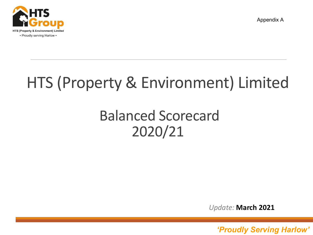

Appendix A



# HTS (Property & Environment) Limited

## Balanced Scorecard 2020/21

*Update:* **March 2021**

*'Proudly serving Harlow' 'Proudly Serving Harlow'* <sup>1</sup>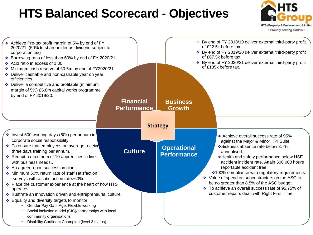### **HTS Balanced Scorecard - Objectives**



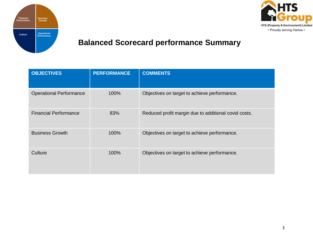



#### **Balanced Scorecard performance Summary**

| <b>OBJECTIVES</b>              | <b>PERFORMANCE</b> | <b>COMMENTS</b>                                      |
|--------------------------------|--------------------|------------------------------------------------------|
| <b>Operational Performance</b> | 100%               | Objectives on target to achieve performance.         |
| <b>Financial Performance</b>   | 83%                | Reduced profit margin due to additional covid costs. |
| <b>Business Growth</b>         | 100%               | Objectives on target to achieve performance.         |
| Culture                        | 100%               | Objectives on target to achieve performance.         |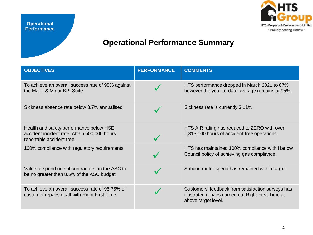

#### **Operational Performance Summary**

| <b>OBJECTIVES</b>                                                                                                    | <b>PERFORMANCE</b> | <b>COMMENTS</b>                                                                                                                 |
|----------------------------------------------------------------------------------------------------------------------|--------------------|---------------------------------------------------------------------------------------------------------------------------------|
| To achieve an overall success rate of 95% against<br>the Major & Minor KPI Suite                                     |                    | HTS performance dropped in March 2021 to 87%<br>however the year-to-date average remains at 95%.                                |
| Sickness absence rate below 3.7% annualised                                                                          |                    | Sickness rate is currently 3.11%.                                                                                               |
| Health and safety performance below HSE<br>accident incident rate. Attain 500,000 hours<br>reportable accident free. |                    | HTS AIR rating has reduced to ZERO with over<br>1,313,100 hours of accident-free operations.                                    |
| 100% compliance with regulatory requirements                                                                         |                    | HTS has maintained 100% compliance with Harlow<br>Council policy of achieving gas compliance.                                   |
| Value of spend on subcontractors on the ASC to<br>be no greater than 8.5% of the ASC budget                          |                    | Subcontractor spend has remained within target.                                                                                 |
| To achieve an overall success rate of 95.75% of<br>customer repairs dealt with Right First Time                      |                    | Customers' feedback from satisfaction surveys has<br>illustrated repairs carried out Right First Time at<br>above target level. |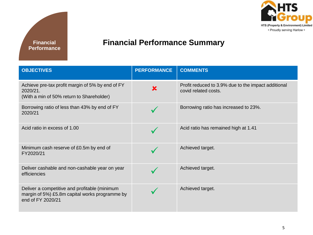



#### **Financial Performance Summary**

| <b>OBJECTIVES</b>                                                                                                    | <b>PERFORMANCE</b> | <b>COMMENTS</b>                                                             |
|----------------------------------------------------------------------------------------------------------------------|--------------------|-----------------------------------------------------------------------------|
| Achieve pre-tax profit margin of 5% by end of FY<br>2020/21.<br>(With a min of 50% return to Shareholder)            | X                  | Profit reduced to 3.9% due to the impact additional<br>covid related costs. |
| Borrowing ratio of less than 43% by end of FY<br>2020/21                                                             |                    | Borrowing ratio has increased to 23%.                                       |
| Acid ratio in excess of 1.00                                                                                         |                    | Acid ratio has remained high at 1.41                                        |
| Minimum cash reserve of £0.5m by end of<br>FY2020/21                                                                 |                    | Achieved target.                                                            |
| Deliver cashable and non-cashable year on year<br>efficiencies                                                       |                    | Achieved target.                                                            |
| Deliver a competitive and profitable (minimum<br>margin of 5%) £5.8m capital works programme by<br>end of FY 2020/21 |                    | Achieved target.                                                            |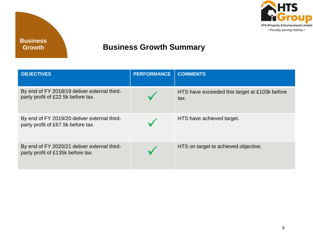

#### **Business Growth Summary**

| <b>OBJECTIVES</b>                                                                  | <b>PERFORMANCE</b> | <b>COMMENTS</b>                                       |
|------------------------------------------------------------------------------------|--------------------|-------------------------------------------------------|
| By end of FY 2018/19 deliver external third-<br>party profit of £22.5k before tax. |                    | HTS have exceeded this target at £103k before<br>tax. |
| By end of FY 2019/20 deliver external third-<br>party profit of £67.5k before tax. |                    | HTS have achieved target.                             |
| By end of FY 2020/21 deliver external third-<br>party profit of £135k before tax.  |                    | HTS on target to achieved objective.                  |